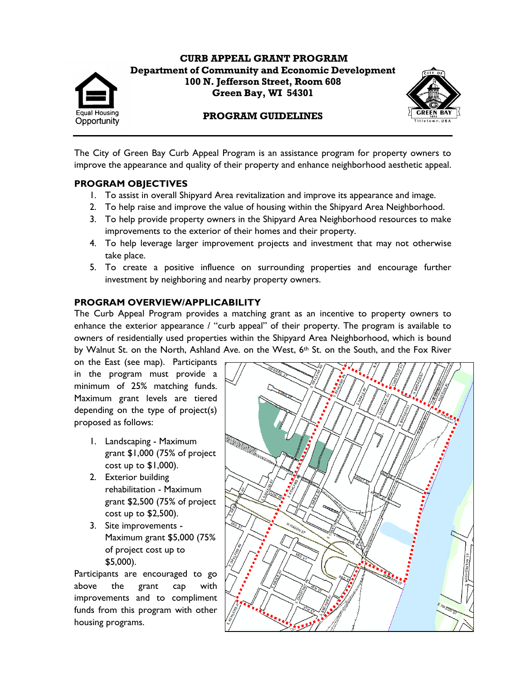

**CURB APPEAL GRANT PROGRAM Department of Community and Economic Development 100 N. Jefferson Street, Room 608 Green Bay, WI 54301**



### **PROGRAM GUIDELINES**

The City of Green Bay Curb Appeal Program is an assistance program for property owners to improve the appearance and quality of their property and enhance neighborhood aesthetic appeal.

#### **PROGRAM OBJECTIVES**

- 1. To assist in overall Shipyard Area revitalization and improve its appearance and image.
- 2. To help raise and improve the value of housing within the Shipyard Area Neighborhood.
- 3. To help provide property owners in the Shipyard Area Neighborhood resources to make improvements to the exterior of their homes and their property.
- 4. To help leverage larger improvement projects and investment that may not otherwise take place.
- 5. To create a positive influence on surrounding properties and encourage further investment by neighboring and nearby property owners.

### **PROGRAM OVERVIEW/APPLICABILITY**

The Curb Appeal Program provides a matching grant as an incentive to property owners to enhance the exterior appearance / "curb appeal" of their property. The program is available to owners of residentially used properties within the Shipyard Area Neighborhood, which is bound by Walnut St. on the North, Ashland Ave. on the West, 6<sup>th</sup> St. on the South, and the Fox River

on the East (see map). Participants in the program must provide a minimum of 25% matching funds. Maximum grant levels are tiered depending on the type of project(s) proposed as follows:

- 1. Landscaping Maximum grant \$1,000 (75% of project cost up to  $$1,000$ ).
- 2. Exterior building rehabilitation - Maximum grant \$2,500 (75% of project cost up to \$2,500).
- 3. Site improvements Maximum grant \$5,000 (75% of project cost up to \$5,000).

Participants are encouraged to go above the grant cap with improvements and to compliment funds from this program with other housing programs.

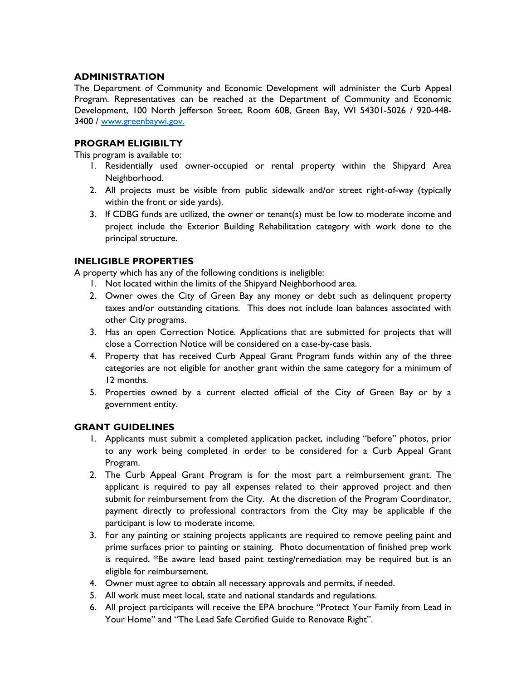### **ADMINISTRATION**

The Department of Community and Economic Development will administer the Curb Appeal Program. Representatives can be reached at the Department of Community and Economic Development, 100 North Jefferson Street, Room 608, Green Bay, WI 54301-5026 / 920-448- 3400 / [www.greenbaywi.gov.](http://www.greenbaywi.gov/) 

# **PROGRAM ELIGIBILTY**

This program is available to:

- 1. Residentially used owner-occupied or rental property within the Shipyard Area Neighborhood.
- 2. All projects must be visible from public sidewalk and/or street right-of-way (typically within the front or side yards).
- 3. If CDBG funds are utilized, the owner or tenant(s) must be low to moderate income and project include the Exterior Building Rehabilitation category with work done to the principal structure.

# **INELIGIBLE PROPERTIES**

A property which has any of the following conditions is ineligible:

- 1. Not located within the limits of the Shipyard Neighborhood area.
- 2. Owner owes the City of Green Bay any money or debt such as delinquent property taxes and/or outstanding citations. This does not include loan balances associated with other City programs.
- 3. Has an open Correction Notice. Applications that are submitted for projects that will close a Correction Notice will be considered on a case-by-case basis.
- 4. Property that has received Curb Appeal Grant Program funds within any of the three categories are not eligible for another grant within the same category for a minimum of 12 months.
- 5. Properties owned by a current elected official of the City of Green Bay or by a government entity.

### **GRANT GUIDELINES**

- 1. Applicants must submit a completed application packet, including "before" photos, prior to any work being completed in order to be considered for a Curb Appeal Grant Program.
- 2. The Curb Appeal Grant Program is for the most part a reimbursement grant. The applicant is required to pay all expenses related to their approved project and then submit for reimbursement from the City. At the discretion of the Program Coordinator, payment directly to professional contractors from the City may be applicable if the participant is low to moderate income.
- 3. For any painting or staining projects applicants are required to remove peeling paint and prime surfaces prior to painting or staining. Photo documentation of finished prep work is required. \*Be aware lead based paint testing/remediation may be required but is an eligible for reimbursement.
- 4. Owner must agree to obtain all necessary approvals and permits, if needed.
- 5. All work must meet local, state and national standards and regulations.
- 6. All project participants will receive the EPA brochure "Protect Your Family from Lead in Your Home" and "The Lead Safe Certified Guide to Renovate Right".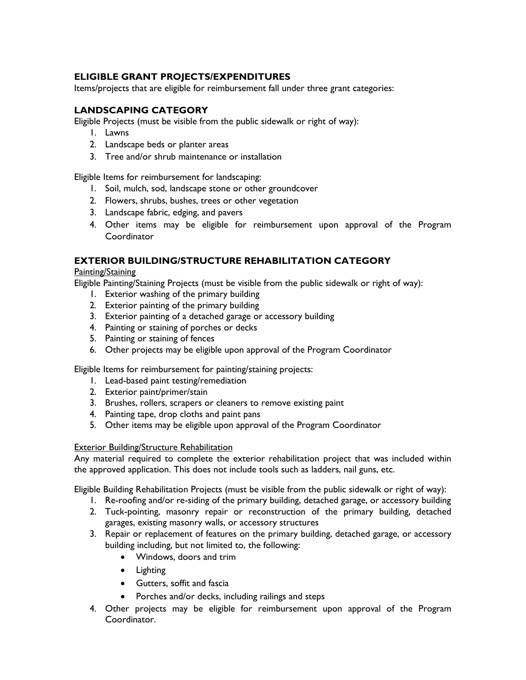# **ELIGIBLE GRANT PROJECTS/EXPENDITURES**

Items/projects that are eligible for reimbursement fall under three grant categories:

# **LANDSCAPING CATEGORY**

Eligible Projects (must be visible from the public sidewalk or right of way):

- 1. Lawns
- 2. Landscape beds or planter areas
- 3. Tree and/or shrub maintenance or installation

Eligible Items for reimbursement for landscaping:

- 1. Soil, mulch, sod, landscape stone or other groundcover
- 2. Flowers, shrubs, bushes, trees or other vegetation
- 3. Landscape fabric, edging, and pavers
- 4. Other items may be eligible for reimbursement upon approval of the Program Coordinator

# **EXTERIOR BUILDING/STRUCTURE REHABILITATION CATEGORY**

### Painting/Staining

Eligible Painting/Staining Projects (must be visible from the public sidewalk or right of way):

- 1. Exterior washing of the primary building
- 2. Exterior painting of the primary building
- 3. Exterior painting of a detached garage or accessory building
- 4. Painting or staining of porches or decks
- 5. Painting or staining of fences
- 6. Other projects may be eligible upon approval of the Program Coordinator

Eligible Items for reimbursement for painting/staining projects:

- 1. Lead-based paint testing/remediation
- 2. Exterior paint/primer/stain
- 3. Brushes, rollers, scrapers or cleaners to remove existing paint
- 4. Painting tape, drop cloths and paint pans
- 5. Other items may be eligible upon approval of the Program Coordinator

### Exterior Building/Structure Rehabilitation

Any material required to complete the exterior rehabilitation project that was included within the approved application. This does not include tools such as ladders, nail guns, etc.

Eligible Building Rehabilitation Projects (must be visible from the public sidewalk or right of way):

- 1. Re-roofing and/or re-siding of the primary building, detached garage, or accessory building
- 2. Tuck-pointing, masonry repair or reconstruction of the primary building, detached garages, existing masonry walls, or accessory structures
- 3. Repair or replacement of features on the primary building, detached garage, or accessory building including, but not limited to, the following:
	- Windows, doors and trim
	- **•** Lighting
	- Gutters, soffit and fascia
	- Porches and/or decks, including railings and steps
- 4. Other projects may be eligible for reimbursement upon approval of the Program Coordinator.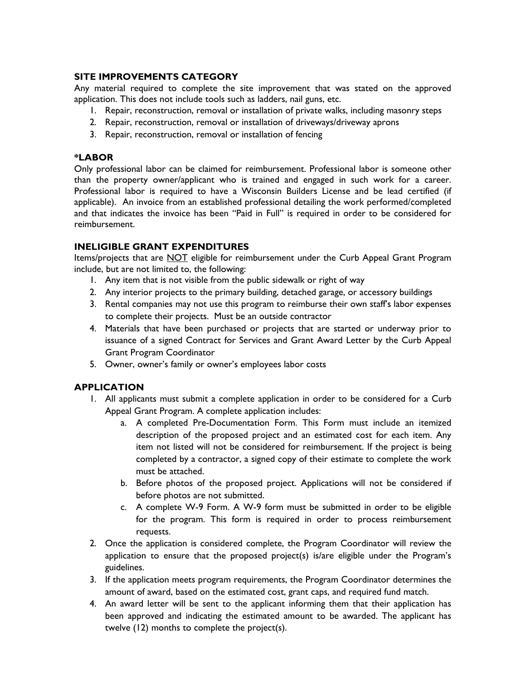# **SITE IMPROVEMENTS CATEGORY**

Any material required to complete the site improvement that was stated on the approved application. This does not include tools such as ladders, nail guns, etc.

- 1. Repair, reconstruction, removal or installation of private walks, including masonry steps
- 2. Repair, reconstruction, removal or installation of driveways/driveway aprons
- 3. Repair, reconstruction, removal or installation of fencing

### **\*LABOR**

Only professional labor can be claimed for reimbursement. Professional labor is someone other than the property owner/applicant who is trained and engaged in such work for a career. Professional labor is required to have a Wisconsin Builders License and be lead certified (if applicable). An invoice from an established professional detailing the work performed/completed and that indicates the invoice has been "Paid in Full" is required in order to be considered for reimbursement.

### **INELIGIBLE GRANT EXPENDITURES**

Items/projects that are NOT eligible for reimbursement under the Curb Appeal Grant Program include, but are not limited to, the following:

- 1. Any item that is not visible from the public sidewalk or right of way
- 2. Any interior projects to the primary building, detached garage, or accessory buildings
- 3. Rental companies may not use this program to reimburse their own staff's labor expenses to complete their projects. Must be an outside contractor
- 4. Materials that have been purchased or projects that are started or underway prior to issuance of a signed Contract for Services and Grant Award Letter by the Curb Appeal Grant Program Coordinator
- 5. Owner, owner's family or owner's employees labor costs

# **APPLICATION**

- 1. All applicants must submit a complete application in order to be considered for a Curb Appeal Grant Program. A complete application includes:
	- a. A completed Pre-Documentation Form. This Form must include an itemized description of the proposed project and an estimated cost for each item. Any item not listed will not be considered for reimbursement. If the project is being completed by a contractor, a signed copy of their estimate to complete the work must be attached.
	- b. Before photos of the proposed project. Applications will not be considered if before photos are not submitted.
	- c. A complete W-9 Form. A W-9 form must be submitted in order to be eligible for the program. This form is required in order to process reimbursement requests.
- 2. Once the application is considered complete, the Program Coordinator will review the application to ensure that the proposed project(s) is/are eligible under the Program's guidelines.
- 3. If the application meets program requirements, the Program Coordinator determines the amount of award, based on the estimated cost, grant caps, and required fund match.
- 4. An award letter will be sent to the applicant informing them that their application has been approved and indicating the estimated amount to be awarded. The applicant has twelve (12) months to complete the project(s).